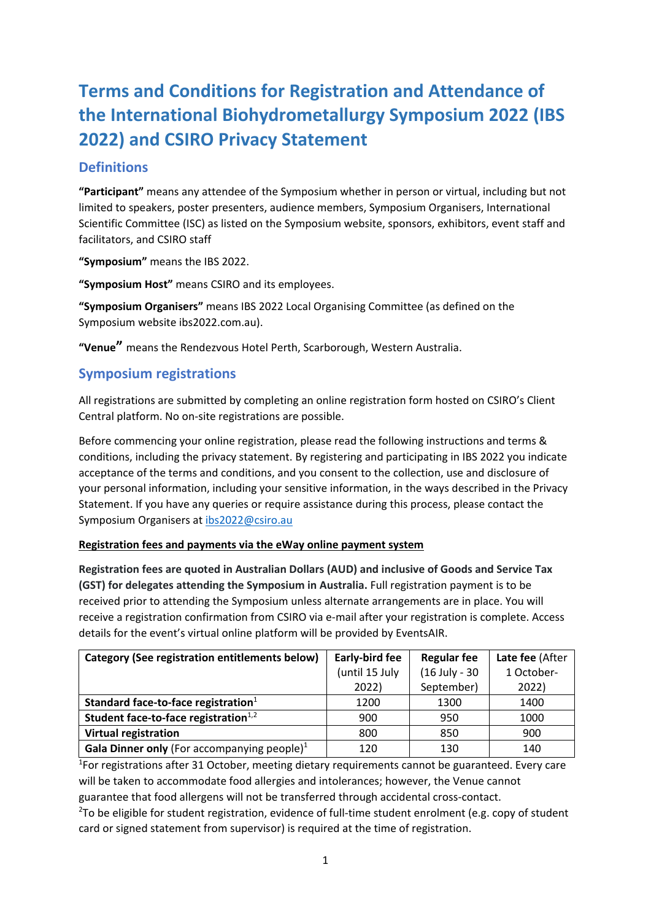# **Terms and Conditions for Registration and Attendance of the International Biohydrometallurgy Symposium 2022 (IBS 2022) and CSIRO Privacy Statement**

# **Definitions**

**"Participant"** means any attendee of the Symposium whether in person or virtual, including but not limited to speakers, poster presenters, audience members, Symposium Organisers, International Scientific Committee (ISC) as listed on the Symposium website, sponsors, exhibitors, event staff and facilitators, and CSIRO staff

**"Symposium"** means the IBS 2022.

**"Symposium Host"** means CSIRO and its employees.

**"Symposium Organisers"** means IBS 2022 Local Organising Committee (as defined on the Symposium website ibs2022.com.au).

**"Venue"** means the Rendezvous Hotel Perth, Scarborough, Western Australia.

# **Symposium registrations**

All registrations are submitted by completing an online registration form hosted on CSIRO's Client Central platform. No on-site registrations are possible.

Before commencing your online registration, please read the following instructions and terms & conditions, including the privacy statement. By registering and participating in IBS 2022 you indicate acceptance of the terms and conditions, and you consent to the collection, use and disclosure of your personal information, including your sensitive information, in the ways described in the Privacy Statement. If you have any queries or require assistance during this process, please contact the Symposium Organisers at [ibs2022@csiro.au](mailto:ibs2022@csiro.au) 

# **Registration fees and payments via the eWay online payment system**

**Registration fees are quoted in Australian Dollars (AUD) and inclusive of Goods and Service Tax (GST) for delegates attending the Symposium in Australia.** Full registration payment is to be received prior to attending the Symposium unless alternate arrangements are in place. You will receive a registration confirmation from CSIRO via e-mail after your registration is complete. Access details for the event's virtual online platform will be provided by EventsAIR.

| Category (See registration entitlements below) | Early-bird fee | <b>Regular fee</b> | Late fee (After |
|------------------------------------------------|----------------|--------------------|-----------------|
|                                                | (until 15 July | (16 July - 30      | 1 October-      |
|                                                | 2022)          | September)         | 2022)           |
| Standard face-to-face registration $1$         | 1200           | 1300               | 1400            |
| Student face-to-face registration $1,2$        | 900            | 950                | 1000            |
| <b>Virtual registration</b>                    | 800            | 850                | 900             |
| Gala Dinner only (For accompanying people) $1$ | 120            | 130                | 140             |

<sup>1</sup>For registrations after 31 October, meeting dietary requirements cannot be guaranteed. Every care will be taken to accommodate food allergies and intolerances; however, the Venue cannot guarantee that food allergens will not be transferred through accidental cross-contact.

 $2$ To be eligible for student registration, evidence of full-time student enrolment (e.g. copy of student card or signed statement from supervisor) is required at the time of registration.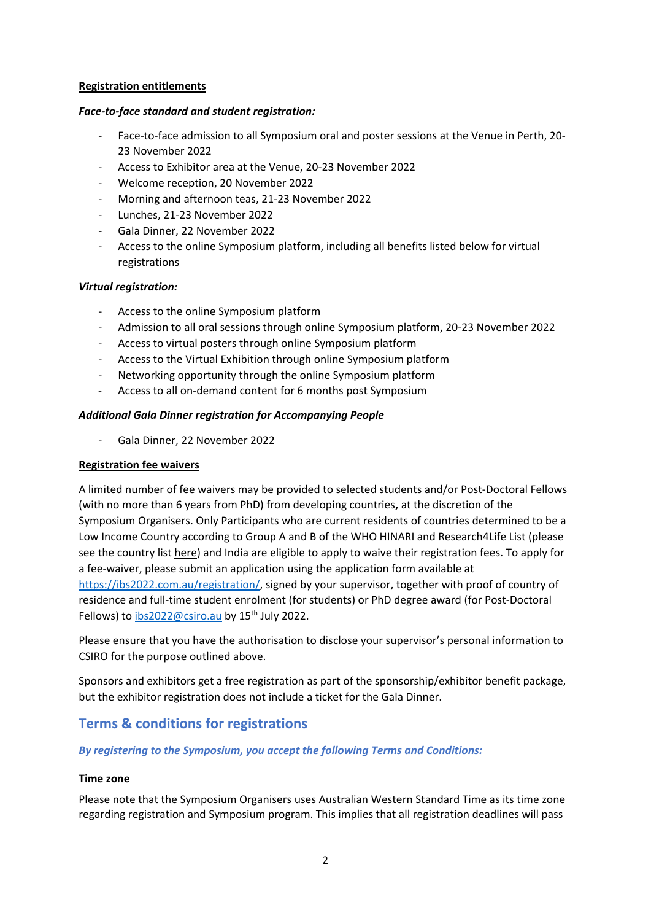#### **Registration entitlements**

### *Face-to-face standard and student registration:*

- Face-to-face admission to all Symposium oral and poster sessions at the Venue in Perth, 20-23 November 2022
- Access to Exhibitor area at the Venue, 20-23 November 2022
- Welcome reception, 20 November 2022
- Morning and afternoon teas, 21-23 November 2022
- Lunches, 21-23 November 2022
- Gala Dinner, 22 November 2022
- Access to the online Symposium platform, including all benefits listed below for virtual registrations

# *Virtual registration:*

- Access to the online Symposium platform
- Admission to all oral sessions through online Symposium platform, 20-23 November 2022
- Access to virtual posters through online Symposium platform
- Access to the Virtual Exhibition through online Symposium platform
- Networking opportunity through the online Symposium platform
- Access to all on-demand content for 6 months post Symposium

# *Additional Gala Dinner registration for Accompanying People*

- Gala Dinner, 22 November 2022

# **Registration fee waivers**

A limited number of fee waivers may be provided to selected students and/or Post-Doctoral Fellows (with no more than 6 years from PhD) from developing countries**,** at the discretion of the Symposium Organisers. Only Participants who are current residents of countries determined to be a Low Income Country according to Group A and B of the WHO HINARI and Research4Life List (please see the country lis[t here\)](https://www.research4life.org/access/eligibility/) and India are eligible to apply to waive their registration fees. To apply for a fee-waiver, please submit an application using the application form available at [https://ibs2022.com.au/registration/,](https://ibs2022.com.au/registration/) signed by your supervisor, together with proof of country of residence and full-time student enrolment (for students) or PhD degree award (for Post-Doctoral Fellows) to  $ibs2022@csiro.au$  by 15<sup>th</sup> July 2022.

Please ensure that you have the authorisation to disclose your supervisor's personal information to CSIRO for the purpose outlined above.

Sponsors and exhibitors get a free registration as part of the sponsorship/exhibitor benefit package, but the exhibitor registration does not include a ticket for the Gala Dinner.

# **Terms & conditions for registrations**

# *By registering to the Symposium, you accept the following Terms and Conditions:*

# **Time zone**

Please note that the Symposium Organisers uses Australian Western Standard Time as its time zone regarding registration and Symposium program. This implies that all registration deadlines will pass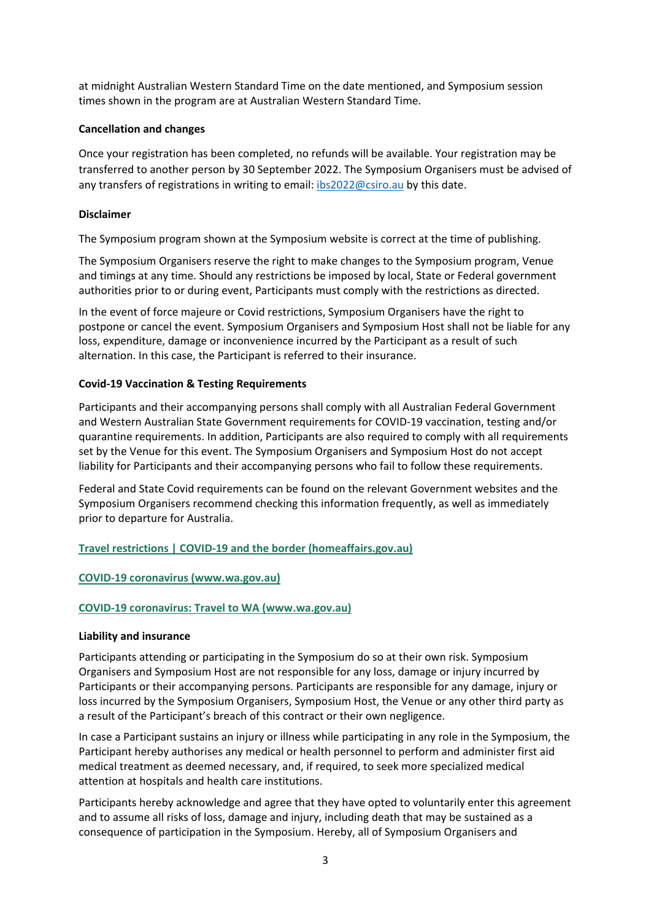at midnight Australian Western Standard Time on the date mentioned, and Symposium session times shown in the program are at Australian Western Standard Time.

### **Cancellation and changes**

Once your registration has been completed, no refunds will be available. Your registration may be transferred to another person by 30 September 2022. The Symposium Organisers must be advised of any transfers of registrations in writing to email: [ibs2022@csiro.au](mailto:ibs2022@csiro.au) by this date.

# **Disclaimer**

The Symposium program shown at the Symposium website is correct at the time of publishing.

The Symposium Organisers reserve the right to make changes to the Symposium program, Venue and timings at any time. Should any restrictions be imposed by local, State or Federal government authorities prior to or during event, Participants must comply with the restrictions as directed.

In the event of force majeure or Covid restrictions, Symposium Organisers have the right to postpone or cancel the event. Symposium Organisers and Symposium Host shall not be liable for any loss, expenditure, damage or inconvenience incurred by the Participant as a result of such alternation. In this case, the Participant is referred to their insurance.

# **Covid-19 Vaccination & Testing Requirements**

Participants and their accompanying persons shall comply with all Australian Federal Government and Western Australian State Government requirements for COVID-19 vaccination, testing and/or quarantine requirements. In addition, Participants are also required to comply with all requirements set by the Venue for this event. The Symposium Organisers and Symposium Host do not accept liability for Participants and their accompanying persons who fail to follow these requirements.

Federal and State Covid requirements can be found on the relevant Government websites and the Symposium Organisers recommend checking this information frequently, as well as immediately prior to departure for Australia.

**[Travel restrictions | COVID-19](https://covid19.homeaffairs.gov.au/travel-restrictions) and the border (homeaffairs.gov.au)**

#### **COVID-19 coronavirus [\(www.wa.gov.au\)](https://www.wa.gov.au/government/covid-19-coronavirus)**

#### **COVID-19 coronavirus: Travel to WA [\(www.wa.gov.au\)](https://www.wa.gov.au/government/covid-19-coronavirus/covid-19-coronavirus-travel-wa)**

#### **Liability and insurance**

Participants attending or participating in the Symposium do so at their own risk. Symposium Organisers and Symposium Host are not responsible for any loss, damage or injury incurred by Participants or their accompanying persons. Participants are responsible for any damage, injury or loss incurred by the Symposium Organisers, Symposium Host, the Venue or any other third party as a result of the Participant's breach of this contract or their own negligence.

In case a Participant sustains an injury or illness while participating in any role in the Symposium, the Participant hereby authorises any medical or health personnel to perform and administer first aid medical treatment as deemed necessary, and, if required, to seek more specialized medical attention at hospitals and health care institutions.

Participants hereby acknowledge and agree that they have opted to voluntarily enter this agreement and to assume all risks of loss, damage and injury, including death that may be sustained as a consequence of participation in the Symposium. Hereby, all of Symposium Organisers and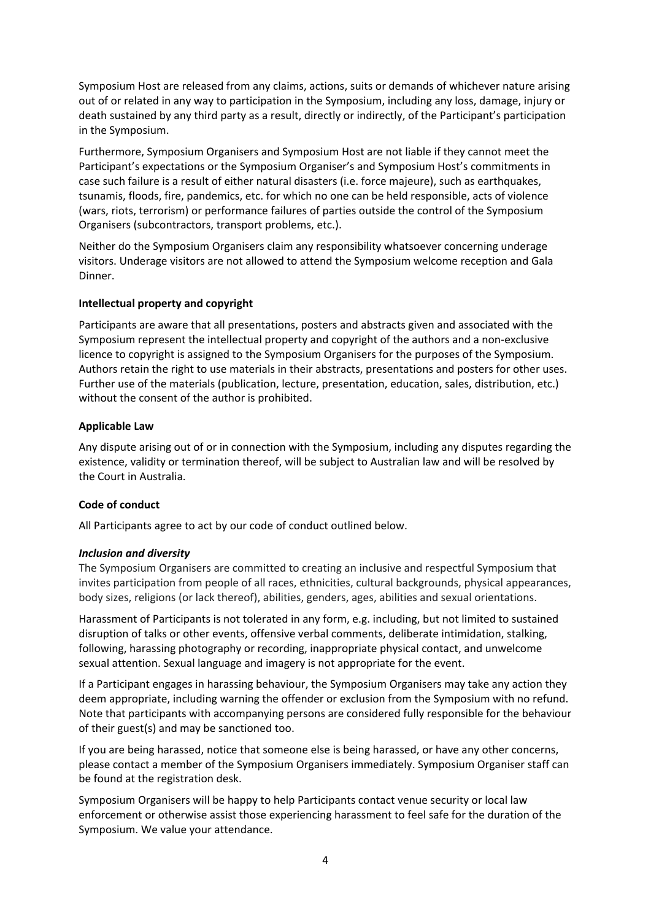Symposium Host are released from any claims, actions, suits or demands of whichever nature arising out of or related in any way to participation in the Symposium, including any loss, damage, injury or death sustained by any third party as a result, directly or indirectly, of the Participant's participation in the Symposium.

Furthermore, Symposium Organisers and Symposium Host are not liable if they cannot meet the Participant's expectations or the Symposium Organiser's and Symposium Host's commitments in case such failure is a result of either natural disasters (i.e. force majeure), such as earthquakes, tsunamis, floods, fire, pandemics, etc. for which no one can be held responsible, acts of violence (wars, riots, terrorism) or performance failures of parties outside the control of the Symposium Organisers (subcontractors, transport problems, etc.).

Neither do the Symposium Organisers claim any responsibility whatsoever concerning underage visitors. Underage visitors are not allowed to attend the Symposium welcome reception and Gala Dinner.

#### **Intellectual property and copyright**

Participants are aware that all presentations, posters and abstracts given and associated with the Symposium represent the intellectual property and copyright of the authors and a non-exclusive licence to copyright is assigned to the Symposium Organisers for the purposes of the Symposium. Authors retain the right to use materials in their abstracts, presentations and posters for other uses. Further use of the materials (publication, lecture, presentation, education, sales, distribution, etc.) without the consent of the author is prohibited.

#### **Applicable Law**

Any dispute arising out of or in connection with the Symposium, including any disputes regarding the existence, validity or termination thereof, will be subject to Australian law and will be resolved by the Court in Australia.

#### **Code of conduct**

All Participants agree to act by our code of conduct outlined below.

#### *Inclusion and diversity*

The Symposium Organisers are committed to creating an inclusive and respectful Symposium that invites participation from people of all races, ethnicities, cultural backgrounds, physical appearances, body sizes, religions (or lack thereof), abilities, genders, ages, abilities and sexual orientations.

Harassment of Participants is not tolerated in any form, e.g. including, but not limited to sustained disruption of talks or other events, offensive verbal comments, deliberate intimidation, stalking, following, harassing photography or recording, inappropriate physical contact, and unwelcome sexual attention. Sexual language and imagery is not appropriate for the event.

If a Participant engages in harassing behaviour, the Symposium Organisers may take any action they deem appropriate, including warning the offender or exclusion from the Symposium with no refund. Note that participants with accompanying persons are considered fully responsible for the behaviour of their guest(s) and may be sanctioned too.

If you are being harassed, notice that someone else is being harassed, or have any other concerns, please contact a member of the Symposium Organisers immediately. Symposium Organiser staff can be found at the registration desk.

Symposium Organisers will be happy to help Participants contact venue security or local law enforcement or otherwise assist those experiencing harassment to feel safe for the duration of the Symposium. We value your attendance.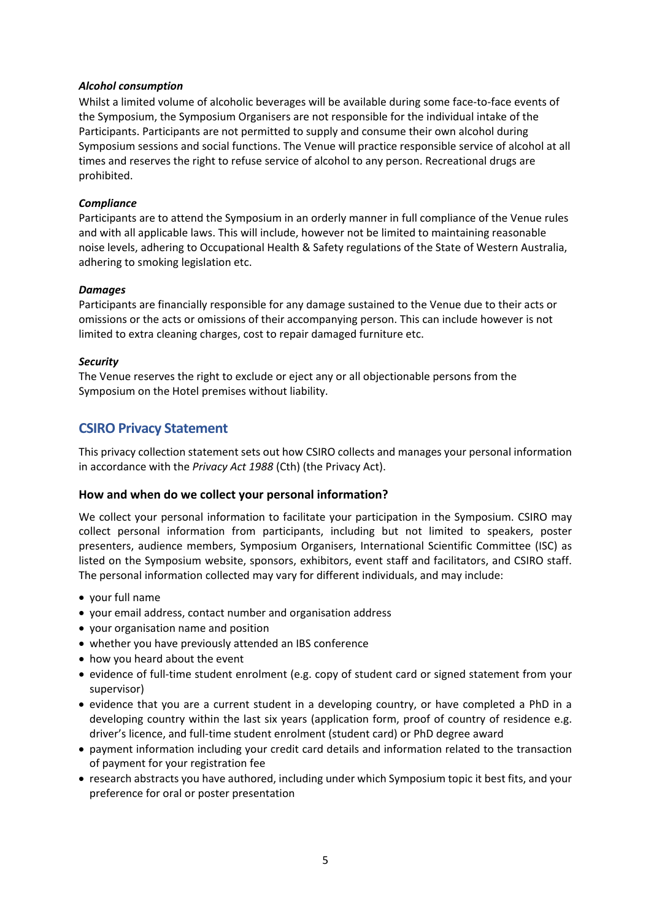#### *Alcohol consumption*

Whilst a limited volume of alcoholic beverages will be available during some face-to-face events of the Symposium, the Symposium Organisers are not responsible for the individual intake of the Participants. Participants are not permitted to supply and consume their own alcohol during Symposium sessions and social functions. The Venue will practice responsible service of alcohol at all times and reserves the right to refuse service of alcohol to any person. Recreational drugs are prohibited.

#### *Compliance*

Participants are to attend the Symposium in an orderly manner in full compliance of the Venue rules and with all applicable laws. This will include, however not be limited to maintaining reasonable noise levels, adhering to Occupational Health & Safety regulations of the State of Western Australia, adhering to smoking legislation etc.

#### *Damages*

Participants are financially responsible for any damage sustained to the Venue due to their acts or omissions or the acts or omissions of their accompanying person. This can include however is not limited to extra cleaning charges, cost to repair damaged furniture etc.

#### *Security*

The Venue reserves the right to exclude or eject any or all objectionable persons from the Symposium on the Hotel premises without liability.

# **CSIRO Privacy Statement**

This privacy collection statement sets out how CSIRO collects and manages your personal information in accordance with the *Privacy Act 1988* (Cth) (the Privacy Act).

#### **How and when do we collect your personal information?**

We collect your personal information to facilitate your participation in the Symposium. CSIRO may collect personal information from participants, including but not limited to speakers, poster presenters, audience members, Symposium Organisers, International Scientific Committee (ISC) as listed on the Symposium website, sponsors, exhibitors, event staff and facilitators, and CSIRO staff. The personal information collected may vary for different individuals, and may include:

- your full name
- your email address, contact number and organisation address
- your organisation name and position
- whether you have previously attended an IBS conference
- how you heard about the event
- evidence of full-time student enrolment (e.g. copy of student card or signed statement from your supervisor)
- evidence that you are a current student in a developing country, or have completed a PhD in a developing country within the last six years (application form, proof of country of residence e.g. driver's licence, and full-time student enrolment (student card) or PhD degree award
- payment information including your credit card details and information related to the transaction of payment for your registration fee
- research abstracts you have authored, including under which Symposium topic it best fits, and your preference for oral or poster presentation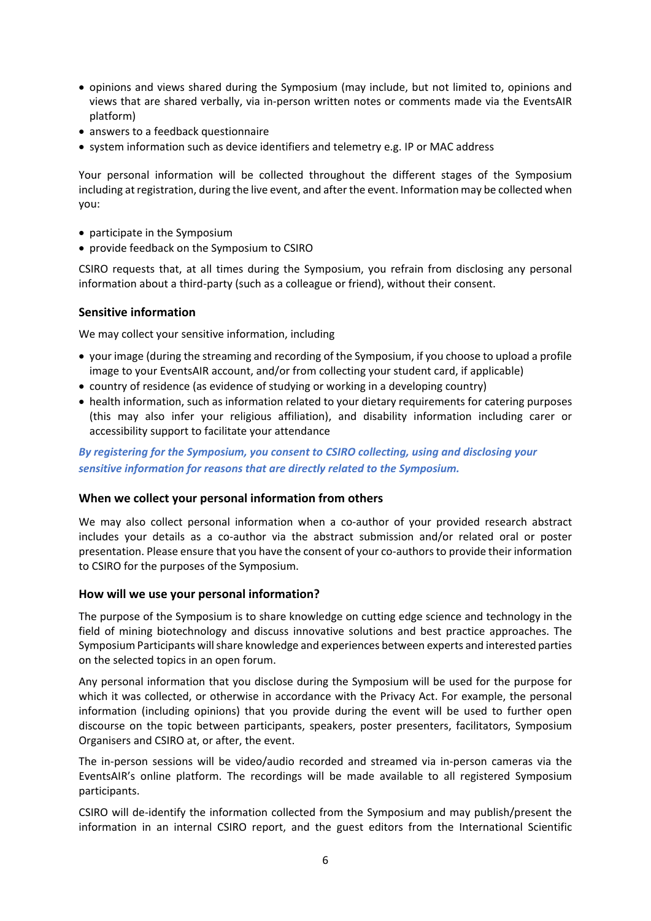- opinions and views shared during the Symposium (may include, but not limited to, opinions and views that are shared verbally, via in-person written notes or comments made via the EventsAIR platform)
- answers to a feedback questionnaire
- system information such as device identifiers and telemetry e.g. IP or MAC address

Your personal information will be collected throughout the different stages of the Symposium including at registration, during the live event, and after the event. Information may be collected when you:

- participate in the Symposium
- provide feedback on the Symposium to CSIRO

CSIRO requests that, at all times during the Symposium, you refrain from disclosing any personal information about a third-party (such as a colleague or friend), without their consent.

# **Sensitive information**

We may collect your sensitive information, including

- your image (during the streaming and recording of the Symposium, if you choose to upload a profile image to your EventsAIR account, and/or from collecting your student card, if applicable)
- country of residence (as evidence of studying or working in a developing country)
- health information, such as information related to your dietary requirements for catering purposes (this may also infer your religious affiliation), and disability information including carer or accessibility support to facilitate your attendance

*By registering for the Symposium, you consent to CSIRO collecting, using and disclosing your sensitive information for reasons that are directly related to the Symposium.* 

#### **When we collect your personal information from others**

We may also collect personal information when a co-author of your provided research abstract includes your details as a co-author via the abstract submission and/or related oral or poster presentation. Please ensure that you have the consent of your co-authorsto provide their information to CSIRO for the purposes of the Symposium.

#### **How will we use your personal information?**

The purpose of the Symposium is to share knowledge on cutting edge science and technology in the field of mining biotechnology and discuss innovative solutions and best practice approaches. The Symposium Participants will share knowledge and experiences between experts and interested parties on the selected topics in an open forum.

Any personal information that you disclose during the Symposium will be used for the purpose for which it was collected, or otherwise in accordance with the Privacy Act. For example, the personal information (including opinions) that you provide during the event will be used to further open discourse on the topic between participants, speakers, poster presenters, facilitators, Symposium Organisers and CSIRO at, or after, the event.

The in-person sessions will be video/audio recorded and streamed via in-person cameras via the EventsAIR's online platform. The recordings will be made available to all registered Symposium participants.

CSIRO will de-identify the information collected from the Symposium and may publish/present the information in an internal CSIRO report, and the guest editors from the International Scientific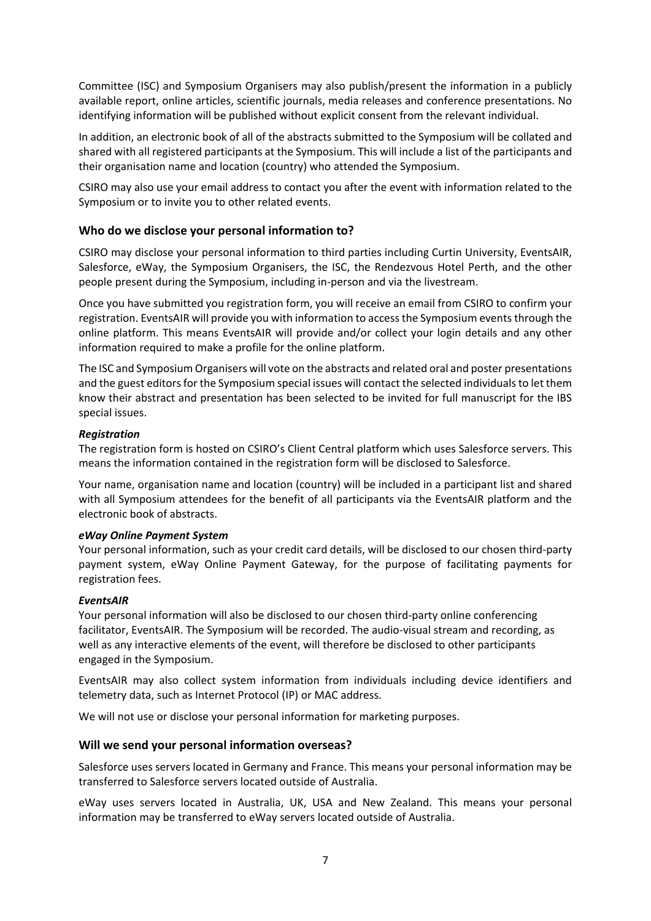Committee (ISC) and Symposium Organisers may also publish/present the information in a publicly available report, online articles, scientific journals, media releases and conference presentations. No identifying information will be published without explicit consent from the relevant individual.

In addition, an electronic book of all of the abstracts submitted to the Symposium will be collated and shared with all registered participants at the Symposium. This will include a list of the participants and their organisation name and location (country) who attended the Symposium.

CSIRO may also use your email address to contact you after the event with information related to the Symposium or to invite you to other related events.

# **Who do we disclose your personal information to?**

CSIRO may disclose your personal information to third parties including Curtin University, EventsAIR, Salesforce, eWay, the Symposium Organisers, the ISC, the Rendezvous Hotel Perth, and the other people present during the Symposium, including in-person and via the livestream.

Once you have submitted you registration form, you will receive an email from CSIRO to confirm your registration. EventsAIR will provide you with information to access the Symposium eventsthrough the online platform. This means EventsAIR will provide and/or collect your login details and any other information required to make a profile for the online platform.

The ISC and Symposium Organisers will vote on the abstracts and related oral and poster presentations and the guest editors for the Symposium special issues will contact the selected individuals to let them know their abstract and presentation has been selected to be invited for full manuscript for the IBS special issues.

#### *Registration*

The registration form is hosted on CSIRO's Client Central platform which uses Salesforce servers. This means the information contained in the registration form will be disclosed to Salesforce.

Your name, organisation name and location (country) will be included in a participant list and shared with all Symposium attendees for the benefit of all participants via the EventsAIR platform and the electronic book of abstracts.

#### *eWay Online Payment System*

Your personal information, such as your credit card details, will be disclosed to our chosen third-party payment system, eWay Online Payment Gateway, for the purpose of facilitating payments for registration fees.

#### *EventsAIR*

Your personal information will also be disclosed to our chosen third-party online conferencing facilitator, EventsAIR. The Symposium will be recorded. The audio-visual stream and recording, as well as any interactive elements of the event, will therefore be disclosed to other participants engaged in the Symposium.

EventsAIR may also collect system information from individuals including device identifiers and telemetry data, such as Internet Protocol (IP) or MAC address.

We will not use or disclose your personal information for marketing purposes.

#### **Will we send your personal information overseas?**

Salesforce uses servers located in Germany and France. This means your personal information may be transferred to Salesforce servers located outside of Australia.

eWay uses servers located in Australia, UK, USA and New Zealand. This means your personal information may be transferred to eWay servers located outside of Australia.